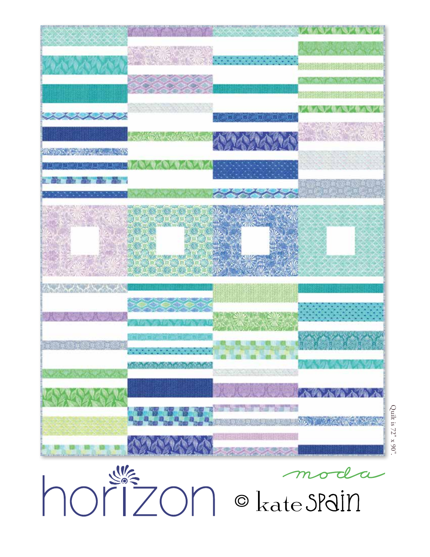



Quilt is 72" x 90".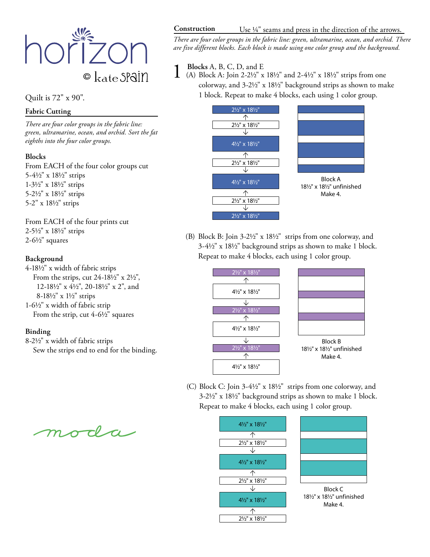

Quilt is 72" x 90".

# **Fabric Cutting**

*There are four color groups in the fabric line: green, ultramarine, ocean, and orchid. Sort the fat eighths into the four color groups.*

# **Blocks**

From EACH of the four color groups cut 5-41/2" x 181/2" strips 1-31/2" x 181/2" strips 5-21/2" x 181/2" strips 5-2" x 181/2" strips

From EACH of the four prints cut 2-51/2" x 181/2" strips  $2-6\frac{1}{2}$ " squares

### **Background**

4-181/2" x width of fabric strips From the strips, cut  $24-18\frac{1}{2}$ " x  $2\frac{1}{2}$ ", 12-181/2" x 41/2", 20-181/2" x 2", and 8-181/2" x 11/2" strips 1-61/2" x width of fabric strip

From the strip, cut  $4-6\frac{1}{2}$ " squares

# **Binding**

8-21/2" x width of fabric strips Sew the strips end to end for the binding.

moda

#### **Construction** Use  $\frac{1}{4}$  seams and press in the direction of the arrows.

*There are four color groups in the fabric line: green, ultramarine, ocean, and orchid. There are five different blocks. Each block is made using one color group and the background.*

**1 Blocks** A, B, C, D, and E<br>
(A) Block A: Join 2-2<sup>1</sup>/2" x 18<sup>1</sup>/2" and 2-4<sup>1</sup>/2" x 18<sup>1</sup>/2" strips from one colorway, and  $3-2\frac{1}{2}$ " x  $18\frac{1}{2}$ " background strips as shown to make 1 block. Repeat to make 4 blocks, each using 1 color group.



(B) Block B: Join 3-21/2" x 181/2" strips from one colorway, and  $3-4\frac{1}{2}$ " x  $18\frac{1}{2}$ " background strips as shown to make 1 block. Repeat to make 4 blocks, each using 1 color group.



(C) Block C: Join 3-4½" x 18½" strips from one colorway, and  $3-2\frac{1}{2}$ " x  $18\frac{1}{2}$ " background strips as shown to make 1 block. Repeat to make 4 blocks, each using 1 color group.

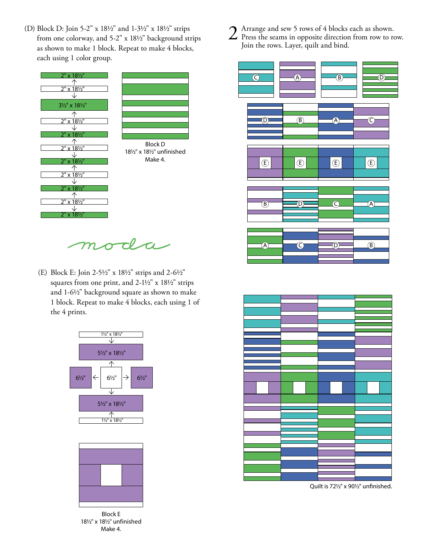(D) Block D: Join 5-2" x 181/2" and 1-31/2" x 181/2" strips from one colorway, and 5-2" x 181/2" background strips as shown to make 1 block. Repeat to make 4 blocks, each using 1 color group.



 $\tau$  ${\boldsymbol m}$ 

(E) Block E: Join 2-51/2" x 181/2" strips and 2-61/2" squares from one print, and 2-1½" x 18½" strips and 1-61/2" background square as shown to make 1 block. Repeat to make 4 blocks, each using 1 of the 4 prints.





Block E 181/2" x 181/2" unfinished Make 4.

2 Arrange and sew 5 rows of 4 blocks each as shown.<br>Press the seams in opposite direction from row to row. Join the rows. Layer, quilt and bind.





Quilt is 721/2" x 901/2" unfinished.